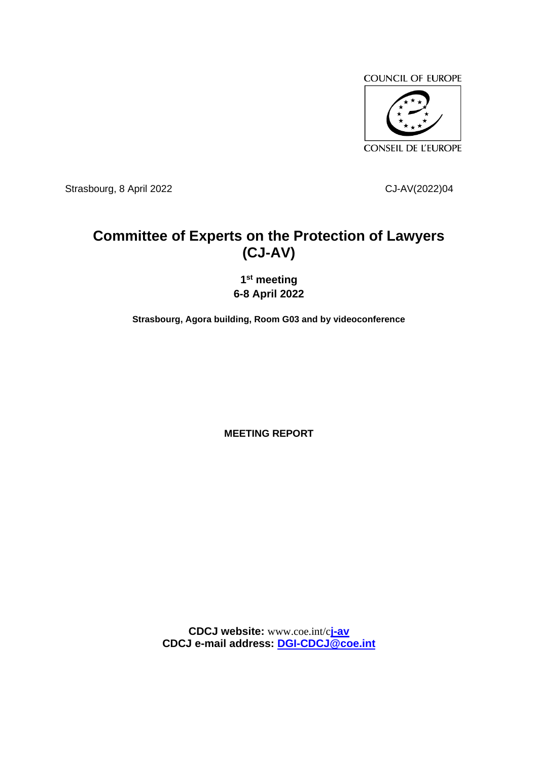

Strasbourg, 8 April 2022 CJ-AV(2022)04

# **Committee of Experts on the Protection of Lawyers (CJ-AV)**

**1 st meeting 6-8 April 2022**

**Strasbourg, Agora building, Room G03 and by videoconference**

**MEETING REPORT**

**CDCJ website:** www.coe.int/c**j-av CDCJ e-mail address: [DGI-CDCJ@coe.int](mailto:DGI-CDCJ@coe.int)**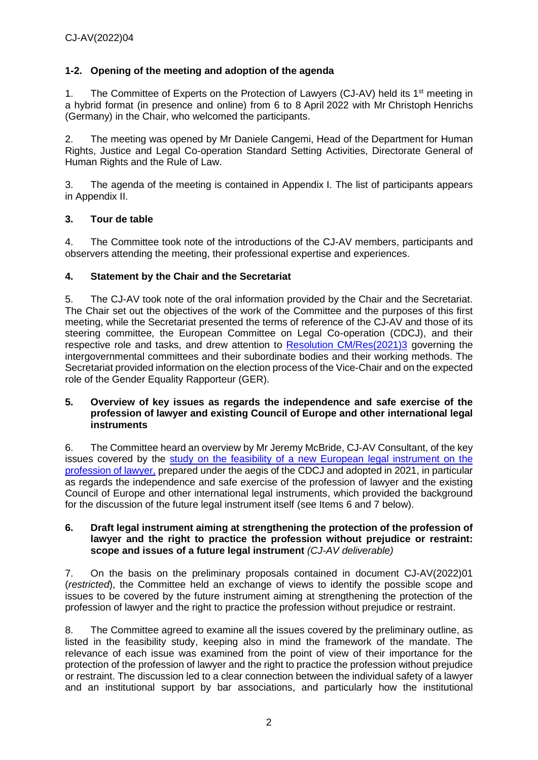### **1-2. Opening of the meeting and adoption of the agenda**

1. The Committee of Experts on the Protection of Lawyers (CJ-AV) held its 1<sup>st</sup> meeting in a hybrid format (in presence and online) from 6 to 8 April 2022 with Mr Christoph Henrichs (Germany) in the Chair, who welcomed the participants.

2. The meeting was opened by Mr Daniele Cangemi, Head of the Department for Human Rights, Justice and Legal Co-operation Standard Setting Activities, Directorate General of Human Rights and the Rule of Law.

3. The agenda of the meeting is contained in Appendix I. The list of participants appears in Appendix II.

### **3. Tour de table**

4. The Committee took note of the introductions of the CJ-AV members, participants and observers attending the meeting, their professional expertise and experiences.

#### **4. Statement by the Chair and the Secretariat**

5. The CJ-AV took note of the oral information provided by the Chair and the Secretariat. The Chair set out the objectives of the work of the Committee and the purposes of this first meeting, while the Secretariat presented the terms of reference of the CJ-AV and those of its steering committee, the European Committee on Legal Co-operation (CDCJ), and their respective role and tasks, and drew attention to [Resolution CM/Res\(2021\)3](https://search.coe.int/cm/Pages/result_details.aspx?ObjectId=0900001680a27292) governing the intergovernmental committees and their subordinate bodies and their working methods. The Secretariat provided information on the election process of the Vice-Chair and on the expected role of the Gender Equality Rapporteur (GER).

#### **5. Overview of key issues as regards the independence and safe exercise of the profession of lawyer and existing Council of Europe and other international legal instruments**

6. The Committee heard an overview by Mr Jeremy McBride, CJ-AV Consultant, of the key issues covered by the [study on the feasibility of a new European legal instrument on the](https://rm.coe.int/eng-examen-de-faisabilite-d-un-instrument-juridque-europeen-couv-texte/1680a22790)  [profession of lawyer,](https://rm.coe.int/eng-examen-de-faisabilite-d-un-instrument-juridque-europeen-couv-texte/1680a22790) prepared under the aegis of the CDCJ and adopted in 2021, in particular as regards the independence and safe exercise of the profession of lawyer and the existing Council of Europe and other international legal instruments, which provided the background for the discussion of the future legal instrument itself (see Items 6 and 7 below).

#### **6. Draft legal instrument aiming at strengthening the protection of the profession of lawyer and the right to practice the profession without prejudice or restraint: scope and issues of a future legal instrument** *(CJ-AV deliverable)*

7. On the basis on the preliminary proposals contained in document CJ-AV(2022)01 (*restricted*), the Committee held an exchange of views to identify the possible scope and issues to be covered by the future instrument aiming at strengthening the protection of the profession of lawyer and the right to practice the profession without prejudice or restraint.

8. The Committee agreed to examine all the issues covered by the preliminary outline, as listed in the feasibility study, keeping also in mind the framework of the mandate. The relevance of each issue was examined from the point of view of their importance for the protection of the profession of lawyer and the right to practice the profession without prejudice or restraint. The discussion led to a clear connection between the individual safety of a lawyer and an institutional support by bar associations, and particularly how the institutional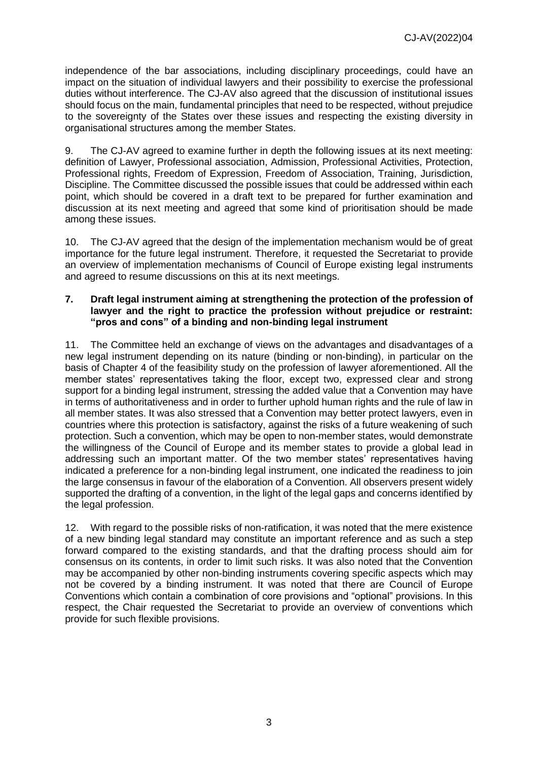independence of the bar associations, including disciplinary proceedings, could have an impact on the situation of individual lawyers and their possibility to exercise the professional duties without interference. The CJ-AV also agreed that the discussion of institutional issues should focus on the main, fundamental principles that need to be respected, without prejudice to the sovereignty of the States over these issues and respecting the existing diversity in organisational structures among the member States.

9. The CJ-AV agreed to examine further in depth the following issues at its next meeting: definition of Lawyer, Professional association, Admission, Professional Activities, Protection, Professional rights, Freedom of Expression, Freedom of Association, Training, Jurisdiction, Discipline. The Committee discussed the possible issues that could be addressed within each point, which should be covered in a draft text to be prepared for further examination and discussion at its next meeting and agreed that some kind of prioritisation should be made among these issues.

10. The CJ-AV agreed that the design of the implementation mechanism would be of great importance for the future legal instrument. Therefore, it requested the Secretariat to provide an overview of implementation mechanisms of Council of Europe existing legal instruments and agreed to resume discussions on this at its next meetings.

#### **7. Draft legal instrument aiming at strengthening the protection of the profession of lawyer and the right to practice the profession without prejudice or restraint: "pros and cons" of a binding and non-binding legal instrument**

11. The Committee held an exchange of views on the advantages and disadvantages of a new legal instrument depending on its nature (binding or non-binding), in particular on the basis of Chapter 4 of the feasibility study on the profession of lawyer aforementioned. All the member states' representatives taking the floor, except two, expressed clear and strong support for a binding legal instrument, stressing the added value that a Convention may have in terms of authoritativeness and in order to further uphold human rights and the rule of law in all member states. It was also stressed that a Convention may better protect lawyers, even in countries where this protection is satisfactory, against the risks of a future weakening of such protection. Such a convention, which may be open to non-member states, would demonstrate the willingness of the Council of Europe and its member states to provide a global lead in addressing such an important matter. Of the two member states' representatives having indicated a preference for a non-binding legal instrument, one indicated the readiness to join the large consensus in favour of the elaboration of a Convention. All observers present widely supported the drafting of a convention, in the light of the legal gaps and concerns identified by the legal profession.

12. With regard to the possible risks of non-ratification, it was noted that the mere existence of a new binding legal standard may constitute an important reference and as such a step forward compared to the existing standards, and that the drafting process should aim for consensus on its contents, in order to limit such risks. It was also noted that the Convention may be accompanied by other non-binding instruments covering specific aspects which may not be covered by a binding instrument. It was noted that there are Council of Europe Conventions which contain a combination of core provisions and "optional" provisions. In this respect, the Chair requested the Secretariat to provide an overview of conventions which provide for such flexible provisions.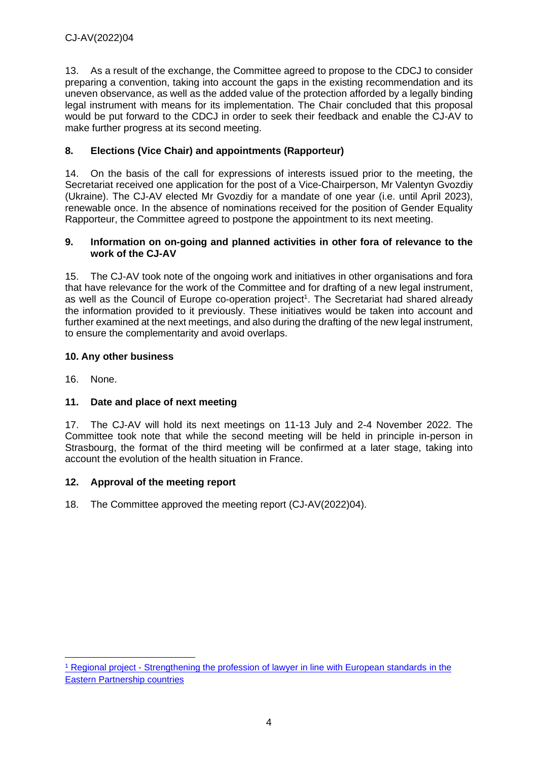13. As a result of the exchange, the Committee agreed to propose to the CDCJ to consider preparing a convention, taking into account the gaps in the existing recommendation and its uneven observance, as well as the added value of the protection afforded by a legally binding legal instrument with means for its implementation. The Chair concluded that this proposal would be put forward to the CDCJ in order to seek their feedback and enable the CJ-AV to make further progress at its second meeting.

### **8. Elections (Vice Chair) and appointments (Rapporteur)**

14. On the basis of the call for expressions of interests issued prior to the meeting, the Secretariat received one application for the post of a Vice-Chairperson, Mr Valentyn Gvozdiy (Ukraine). The CJ-AV elected Mr Gvozdiy for a mandate of one year (i.e. until April 2023), renewable once. In the absence of nominations received for the position of Gender Equality Rapporteur, the Committee agreed to postpone the appointment to its next meeting.

#### **9. Information on on-going and planned activities in other fora of relevance to the work of the CJ-AV**

15. The CJ-AV took note of the ongoing work and initiatives in other organisations and fora that have relevance for the work of the Committee and for drafting of a new legal instrument, as well as the Council of Europe co-operation project<sup>1</sup>. The Secretariat had shared already the information provided to it previously. These initiatives would be taken into account and further examined at the next meetings, and also during the drafting of the new legal instrument, to ensure the complementarity and avoid overlaps.

### **10. Any other business**

16. None.

### **11. Date and place of next meeting**

17. The CJ-AV will hold its next meetings on 11-13 July and 2-4 November 2022. The Committee took note that while the second meeting will be held in principle in-person in Strasbourg, the format of the third meeting will be confirmed at a later stage, taking into account the evolution of the health situation in France.

### **12. Approval of the meeting report**

18. The Committee approved the meeting report (CJ-AV(2022)04).

<sup>&</sup>lt;sup>1</sup> Regional project - [Strengthening the profession of lawyer in line with European standards](https://regionallawyersnetwork.coe.int/en/) in the Eastern Partnership countries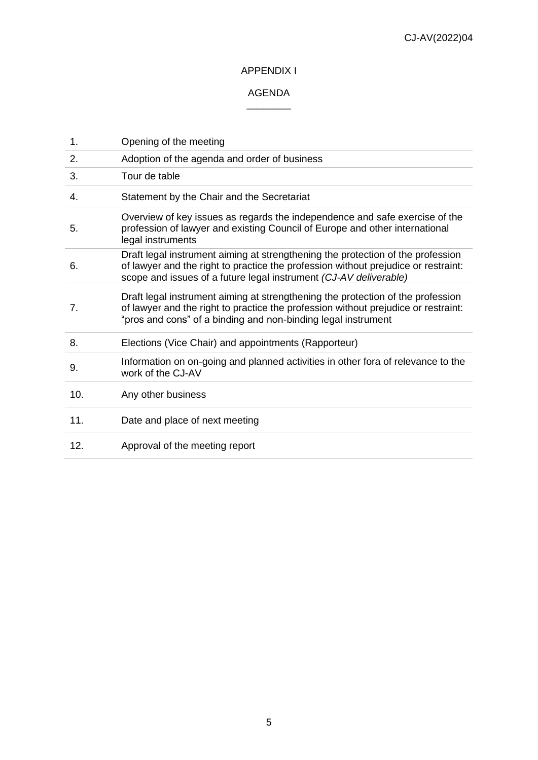### APPENDIX I

#### AGENDA  $\overline{\phantom{a}}$

| 1.  | Opening of the meeting                                                                                                                                                                                                                     |
|-----|--------------------------------------------------------------------------------------------------------------------------------------------------------------------------------------------------------------------------------------------|
| 2.  | Adoption of the agenda and order of business                                                                                                                                                                                               |
| 3.  | Tour de table                                                                                                                                                                                                                              |
| 4.  | Statement by the Chair and the Secretariat                                                                                                                                                                                                 |
| 5.  | Overview of key issues as regards the independence and safe exercise of the<br>profession of lawyer and existing Council of Europe and other international<br>legal instruments                                                            |
| 6.  | Draft legal instrument aiming at strengthening the protection of the profession<br>of lawyer and the right to practice the profession without prejudice or restraint:<br>scope and issues of a future legal instrument (CJ-AV deliverable) |
| 7.  | Draft legal instrument aiming at strengthening the protection of the profession<br>of lawyer and the right to practice the profession without prejudice or restraint:<br>"pros and cons" of a binding and non-binding legal instrument     |
| 8.  | Elections (Vice Chair) and appointments (Rapporteur)                                                                                                                                                                                       |
| 9.  | Information on on-going and planned activities in other fora of relevance to the<br>work of the CJ-AV                                                                                                                                      |
| 10. | Any other business                                                                                                                                                                                                                         |
| 11. | Date and place of next meeting                                                                                                                                                                                                             |
| 12. | Approval of the meeting report                                                                                                                                                                                                             |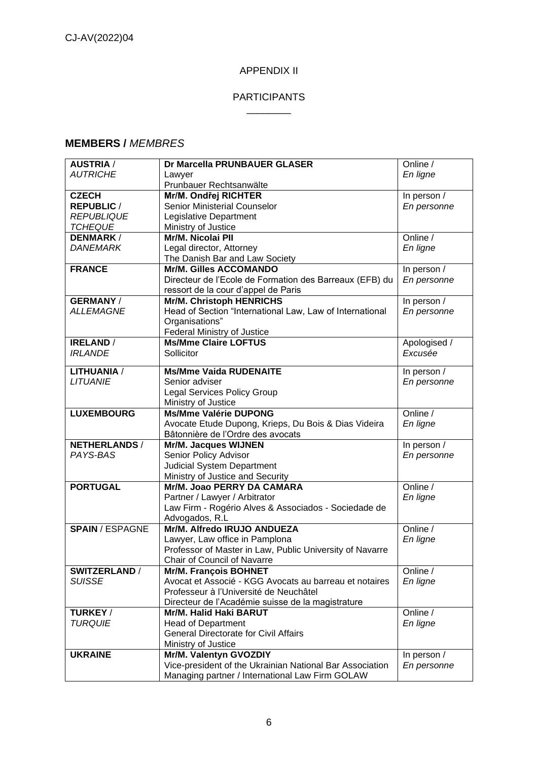### APPENDIX II

#### PARTICIPANTS  $\overline{\phantom{a}}$

#### **MEMBERS /** *MEMBRES*

| <b>AUSTRIA /</b>                      | Dr Marcella PRUNBAUER GLASER                                                               | Online /      |
|---------------------------------------|--------------------------------------------------------------------------------------------|---------------|
| <b>AUTRICHE</b>                       | Lawyer                                                                                     | En ligne      |
|                                       | Prunbauer Rechtsanwälte                                                                    |               |
| <b>CZECH</b>                          | Mr/M. Ondřej RICHTER                                                                       | In person /   |
| <b>REPUBLIC /</b>                     | Senior Ministerial Counselor                                                               | En personne   |
| <b>REPUBLIQUE</b>                     | Legislative Department                                                                     |               |
| <b>TCHEQUE</b>                        | Ministry of Justice                                                                        |               |
| <b>DENMARK/</b>                       | Mr/M. Nicolai Pll                                                                          | Online /      |
| <b>DANEMARK</b>                       | Legal director, Attorney                                                                   | En ligne      |
|                                       | The Danish Bar and Law Society                                                             |               |
| <b>FRANCE</b>                         | <b>Mr/M. Gilles ACCOMANDO</b>                                                              | In person $/$ |
|                                       | Directeur de l'Ecole de Formation des Barreaux (EFB) du                                    | En personne   |
|                                       | ressort de la cour d'appel de Paris                                                        |               |
| <b>GERMANY/</b>                       | Mr/M. Christoph HENRICHS                                                                   | In person /   |
| <b>ALLEMAGNE</b>                      | Head of Section "International Law, Law of International                                   | En personne   |
|                                       | Organisations"                                                                             |               |
|                                       | Federal Ministry of Justice                                                                |               |
| <b>IRELAND</b> /                      | <b>Ms/Mme Claire LOFTUS</b>                                                                | Apologised /  |
| <b>IRLANDE</b>                        | Sollicitor                                                                                 | Excusée       |
|                                       |                                                                                            |               |
| <b>LITHUANIA /</b>                    | <b>Ms/Mme Vaida RUDENAITE</b>                                                              | In person /   |
| <b>LITUANIE</b>                       | Senior adviser                                                                             | En personne   |
|                                       | <b>Legal Services Policy Group</b>                                                         |               |
|                                       | Ministry of Justice                                                                        |               |
| <b>LUXEMBOURG</b>                     | <b>Ms/Mme Valérie DUPONG</b>                                                               | Online /      |
|                                       | Avocate Etude Dupong, Krieps, Du Bois & Dias Videira                                       | En ligne      |
|                                       | Bâtonnière de l'Ordre des avocats                                                          |               |
| <b>NETHERLANDS/</b>                   | Mr/M. Jacques WIJNEN                                                                       | In person /   |
| PAYS-BAS                              | Senior Policy Advisor                                                                      | En personne   |
|                                       | <b>Judicial System Department</b>                                                          |               |
|                                       | Ministry of Justice and Security                                                           |               |
| <b>PORTUGAL</b>                       | Mr/M. Joao PERRY DA CAMARA                                                                 | Online /      |
|                                       | Partner / Lawyer / Arbitrator                                                              | En ligne      |
|                                       | Law Firm - Rogério Alves & Associados - Sociedade de                                       |               |
| <b>SPAIN / ESPAGNE</b>                | Advogados, R.L.<br>Mr/M. Alfredo IRUJO ANDUEZA                                             | Online /      |
|                                       |                                                                                            |               |
|                                       | Lawyer, Law office in Pamplona<br>Professor of Master in Law, Public University of Navarre | En ligne      |
|                                       |                                                                                            |               |
|                                       | <b>Chair of Council of Navarre</b>                                                         | Online /      |
| <b>SWITZERLAND /</b><br><b>SUISSE</b> | <b>Mr/M. François BOHNET</b><br>Avocat et Associé - KGG Avocats au barreau et notaires     |               |
|                                       | Professeur à l'Université de Neuchâtel                                                     | En ligne      |
|                                       | Directeur de l'Académie suisse de la magistrature                                          |               |
| TURKEY/                               | Mr/M. Halid Haki BARUT                                                                     | Online /      |
| <b>TURQUIE</b>                        | <b>Head of Department</b>                                                                  | En ligne      |
|                                       | General Directorate for Civil Affairs                                                      |               |
|                                       |                                                                                            |               |
| <b>UKRAINE</b>                        | Ministry of Justice<br>Mr/M. Valentyn GVOZDIY                                              | In person /   |
|                                       | Vice-president of the Ukrainian National Bar Association                                   | En personne   |
|                                       | Managing partner / International Law Firm GOLAW                                            |               |
|                                       |                                                                                            |               |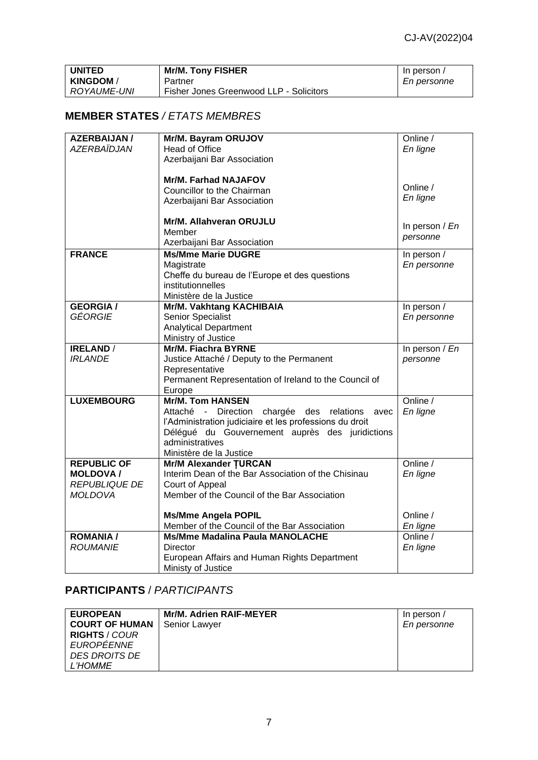| <b>UNITED</b>  | <b>Mr/M. Tony FISHER</b>                | In person / |
|----------------|-----------------------------------------|-------------|
| <b>KINGDOM</b> | Partner                                 | En personne |
| ROYAUME-UNI    | Fisher Jones Greenwood LLP - Solicitors |             |

## **MEMBER STATES** */ ETATS MEMBRES*

| <b>AZERBAIJAN /</b> | Mr/M. Bayram ORUJOV                                     | Online /             |
|---------------------|---------------------------------------------------------|----------------------|
| AZERBAÏDJAN         | <b>Head of Office</b>                                   | En ligne             |
|                     | Azerbaijani Bar Association                             |                      |
|                     |                                                         |                      |
|                     | <b>Mr/M. Farhad NAJAFOV</b>                             |                      |
|                     | Councillor to the Chairman                              | Online /             |
|                     | Azerbaijani Bar Association                             | En ligne             |
|                     |                                                         |                      |
|                     | Mr/M. Allahveran ORUJLU                                 |                      |
|                     | Member                                                  | In person $/En$      |
|                     | Azerbaijani Bar Association                             | personne             |
| <b>FRANCE</b>       | <b>Ms/Mme Marie DUGRE</b>                               | In person /          |
|                     |                                                         |                      |
|                     | Magistrate                                              | En personne          |
|                     | Cheffe du bureau de l'Europe et des questions           |                      |
|                     | institutionnelles                                       |                      |
|                     | Ministère de la Justice                                 |                      |
| <b>GEORGIA/</b>     | Mr/M. Vakhtang KACHIBAIA                                | In person /          |
| GÉORGIE             | <b>Senior Specialist</b>                                | En personne          |
|                     | <b>Analytical Department</b>                            |                      |
|                     | Ministry of Justice                                     |                      |
| <b>IRELAND /</b>    | <b>Mr/M. Fiachra BYRNE</b>                              | In person $/En$      |
| <b>IRLANDE</b>      | Justice Attaché / Deputy to the Permanent               | personne             |
|                     | Representative                                          |                      |
|                     | Permanent Representation of Ireland to the Council of   |                      |
|                     | Europe                                                  |                      |
| <b>LUXEMBOURG</b>   | <b>Mr/M. Tom HANSEN</b>                                 | Online /             |
|                     | Attaché - Direction chargée des relations<br>avec       | En ligne             |
|                     | l'Administration judiciaire et les professions du droit |                      |
|                     | Délégué du Gouvernement auprès des juridictions         |                      |
|                     | administratives                                         |                      |
|                     | Ministère de la Justice                                 |                      |
| <b>REPUBLIC OF</b>  | <b>Mr/M Alexander TURCAN</b>                            | Online /             |
| <b>MOLDOVA/</b>     | Interim Dean of the Bar Association of the Chisinau     | En ligne             |
| REPUBLIQUE DE       | Court of Appeal                                         |                      |
| MOLDOVA             | Member of the Council of the Bar Association            |                      |
|                     |                                                         |                      |
|                     | <b>Ms/Mme Angela POPIL</b>                              | Online /             |
|                     | Member of the Council of the Bar Association            |                      |
| <b>ROMANIA /</b>    | <b>Ms/Mme Madalina Paula MANOLACHE</b>                  | En ligne<br>Online / |
|                     |                                                         |                      |
| <b>ROUMANIE</b>     | Director                                                | En ligne             |
|                     | European Affairs and Human Rights Department            |                      |
|                     | Ministy of Justice                                      |                      |

# **PARTICIPANTS** / *PARTICIPANTS*

| <b>EUROPEAN</b>       | Mr/M. Adrien RAIF-MEYER | In person / |
|-----------------------|-------------------------|-------------|
| <b>COURT OF HUMAN</b> | Senior Lawyer           | En personne |
| <b>RIGHTS / COUR</b>  |                         |             |
| <b>EUROPEENNE</b>     |                         |             |
| DES DROITS DE         |                         |             |
| <b>L'HOMME</b>        |                         |             |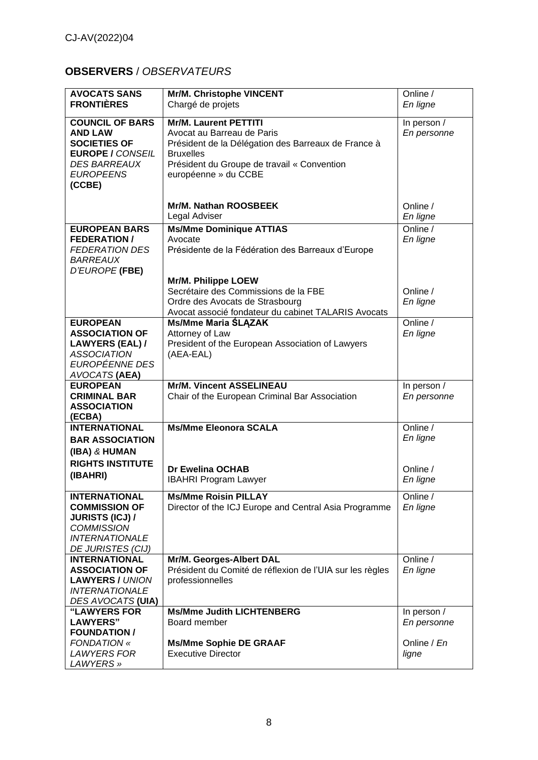# **OBSERVERS** / *OBSERVATEURS*

| <b>AVOCATS SANS</b>                         | Mr/M. Christophe VINCENT                                 | Online /    |
|---------------------------------------------|----------------------------------------------------------|-------------|
| <b>FRONTIÈRES</b>                           | Chargé de projets                                        | En ligne    |
|                                             |                                                          |             |
| <b>COUNCIL OF BARS</b>                      | <b>Mr/M. Laurent PETTITI</b>                             | In person / |
| <b>AND LAW</b>                              | Avocat au Barreau de Paris                               | En personne |
| <b>SOCIETIES OF</b>                         | Président de la Délégation des Barreaux de France à      |             |
| <b>EUROPE / CONSEIL</b>                     | <b>Bruxelles</b>                                         |             |
| <i><b>DES BARREAUX</b></i>                  | Président du Groupe de travail « Convention              |             |
| <b>EUROPEENS</b>                            | européenne » du CCBE                                     |             |
| (CCBE)                                      |                                                          |             |
|                                             |                                                          |             |
|                                             | Mr/M. Nathan ROOSBEEK                                    | Online /    |
|                                             | Legal Adviser                                            | En ligne    |
|                                             |                                                          |             |
| <b>EUROPEAN BARS</b>                        | <b>Ms/Mme Dominique ATTIAS</b>                           | Online /    |
| <b>FEDERATION /</b>                         | Avocate                                                  | En ligne    |
| <b>FEDERATION DES</b>                       | Présidente de la Fédération des Barreaux d'Europe        |             |
| <i><b>BARREAUX</b></i>                      |                                                          |             |
| D'EUROPE (FBE)                              |                                                          |             |
|                                             | Mr/M. Philippe LOEW                                      |             |
|                                             | Secrétaire des Commissions de la FBE                     | Online /    |
|                                             | Ordre des Avocats de Strasbourg                          | En ligne    |
|                                             | Avocat associé fondateur du cabinet TALARIS Avocats      |             |
| <b>EUROPEAN</b>                             | <b>Ms/Mme Maria ŚLĄZAK</b>                               | Online /    |
| <b>ASSOCIATION OF</b>                       | Attorney of Law                                          | En ligne    |
| <b>LAWYERS (EAL) /</b>                      | President of the European Association of Lawyers         |             |
| <b>ASSOCIATION</b>                          | (AEA-EAL)                                                |             |
| EUROPÉENNE DES                              |                                                          |             |
| AVOCATS (AEA)                               |                                                          |             |
| <b>EUROPEAN</b>                             | <b>Mr/M. Vincent ASSELINEAU</b>                          | In person / |
| <b>CRIMINAL BAR</b>                         | Chair of the European Criminal Bar Association           | En personne |
| <b>ASSOCIATION</b>                          |                                                          |             |
| (ECBA)                                      |                                                          |             |
| <b>INTERNATIONAL</b>                        | <b>Ms/Mme Eleonora SCALA</b>                             | Online /    |
| <b>BAR ASSOCIATION</b>                      |                                                          | En ligne    |
| (IBA) & HUMAN                               |                                                          |             |
| <b>RIGHTS INSTITUTE</b>                     |                                                          |             |
| (IBAHRI)                                    | <b>Dr Ewelina OCHAB</b>                                  | Online /    |
|                                             | <b>IBAHRI Program Lawyer</b>                             | En ligne    |
| <b>INTERNATIONAL</b>                        | <b>Ms/Mme Roisin PILLAY</b>                              | Online /    |
| <b>COMMISSION OF</b>                        | Director of the ICJ Europe and Central Asia Programme    | En ligne    |
|                                             |                                                          |             |
| <b>JURISTS (ICJ) /</b><br><b>COMMISSION</b> |                                                          |             |
|                                             |                                                          |             |
| <b>INTERNATIONALE</b>                       |                                                          |             |
| DE JURISTES (CIJ)                           |                                                          |             |
| <b>INTERNATIONAL</b>                        | Mr/M. Georges-Albert DAL                                 | Online /    |
| <b>ASSOCIATION OF</b>                       | Président du Comité de réflexion de l'UIA sur les règles | En ligne    |
| <b>LAWYERS / UNION</b>                      | professionnelles                                         |             |
| <b>INTERNATIONALE</b>                       |                                                          |             |
| DES AVOCATS (UIA)                           |                                                          |             |
| <b>"LAWYERS FOR</b>                         | <b>Ms/Mme Judith LICHTENBERG</b>                         | In person / |
| <b>LAWYERS"</b>                             | Board member                                             | En personne |
| <b>FOUNDATION /</b>                         |                                                          |             |
| <b>FONDATION «</b>                          | <b>Ms/Mme Sophie DE GRAAF</b>                            | Online / En |
| <b>LAWYERS FOR</b>                          | <b>Executive Director</b>                                | ligne       |
| LAWYERS »                                   |                                                          |             |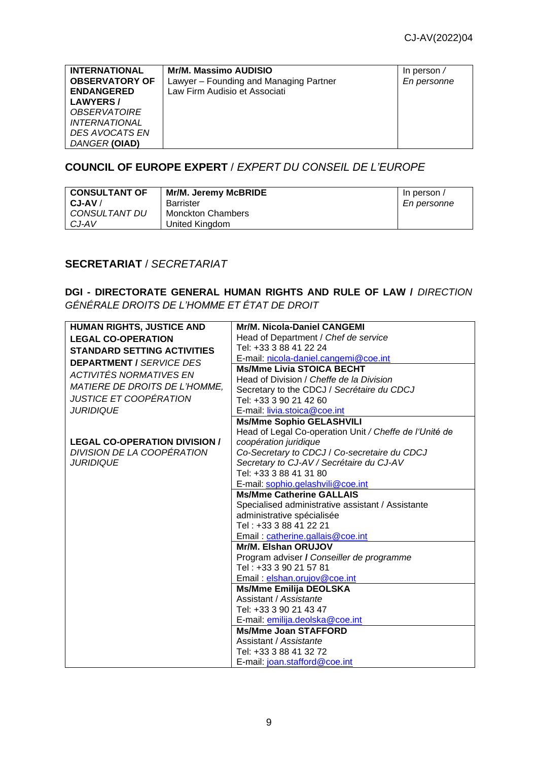| <b>INTERNATIONAL</b>        | Mr/M. Massimo AUDISIO                  |                    |
|-----------------------------|----------------------------------------|--------------------|
|                             |                                        | In person $\prime$ |
| <b>OBSERVATORY OF</b>       | Lawyer - Founding and Managing Partner | En personne        |
| <b>ENDANGERED</b>           | Law Firm Audisio et Associati          |                    |
| <b>LAWYERS/</b>             |                                        |                    |
| <i><b>OBSERVATOIRE</b></i>  |                                        |                    |
| <i><b>INTERNATIONAL</b></i> |                                        |                    |
| DES AVOCATS EN              |                                        |                    |
| DANGER (OIAD)               |                                        |                    |

### **COUNCIL OF EUROPE EXPERT** / *EXPERT DU CONSEIL DE L'EUROPE*

| <b>CONSULTANT OF</b> | Mr/M. Jeremy McBRIDE     | In person / |
|----------------------|--------------------------|-------------|
| $CJ-AV/$             | Barrister                | En personne |
| CONSULTANT DU        | <b>Monckton Chambers</b> |             |
| CJ-AV                | United Kingdom           |             |

### **SECRETARIAT** / *SECRETARIAT*

**DGI - DIRECTORATE GENERAL HUMAN RIGHTS AND RULE OF LAW /** *[DIRECTION](https://www.coe.int/fr/web/human-rights-rule-of-law)  [GÉNÉRALE DROITS DE L'HOMME ET ÉTAT DE DROIT](https://www.coe.int/fr/web/human-rights-rule-of-law)*

| <b>HUMAN RIGHTS, JUSTICE AND</b>     | <b>Mr/M. Nicola-Daniel CANGEMI</b>                     |
|--------------------------------------|--------------------------------------------------------|
| <b>LEGAL CO-OPERATION</b>            | Head of Department / Chef de service                   |
| <b>STANDARD SETTING ACTIVITIES</b>   | Tel: +33 3 88 41 22 24                                 |
| <b>DEPARTMENT / SERVICE DES</b>      | E-mail: nicola-daniel.cangemi@coe.int                  |
| ACTIVITÉS NORMATIVES EN              | <b>Ms/Mme Livia STOICA BECHT</b>                       |
|                                      | Head of Division / Cheffe de la Division               |
| <b>MATIERE DE DROITS DE L'HOMME.</b> | Secretary to the CDCJ / Secrétaire du CDCJ             |
| JUSTICE ET COOPÉRATION               | Tel: +33 3 90 21 42 60                                 |
| <i><b>JURIDIQUE</b></i>              | E-mail: livia.stoica@coe.int                           |
|                                      | <b>Ms/Mme Sophio GELASHVILI</b>                        |
|                                      | Head of Legal Co-operation Unit / Cheffe de l'Unité de |
| <b>LEGAL CO-OPERATION DIVISION /</b> | coopération juridique                                  |
| DIVISION DE LA COOPERATION           | Co-Secretary to CDCJ / Co-secretaire du CDCJ           |
| <i><b>JURIDIQUE</b></i>              | Secretary to CJ-AV / Secrétaire du CJ-AV               |
|                                      | Tel: +33 3 88 41 31 80                                 |
|                                      | E-mail: sophio.gelashvili@coe.int                      |
|                                      | <b>Ms/Mme Catherine GALLAIS</b>                        |
|                                      | Specialised administrative assistant / Assistante      |
|                                      | administrative spécialisée                             |
|                                      | Tel: +33 3 88 41 22 21                                 |
|                                      | Email: catherine.gallais@coe.int                       |
|                                      | Mr/M. Elshan ORUJOV                                    |
|                                      | Program adviser / Conseiller de programme              |
|                                      | Tel: +33 3 90 21 57 81                                 |
|                                      | Email: elshan.orujov@coe.int                           |
|                                      | <b>Ms/Mme Emilija DEOLSKA</b>                          |
|                                      | Assistant / Assistante                                 |
|                                      | Tel: +33 3 90 21 43 47                                 |
|                                      | E-mail: emilija.deolska@coe.int                        |
|                                      | <b>Ms/Mme Joan STAFFORD</b>                            |
|                                      | Assistant / Assistante                                 |
|                                      | Tel: +33 3 88 41 32 72                                 |
|                                      | E-mail: joan.stafford@coe.int                          |